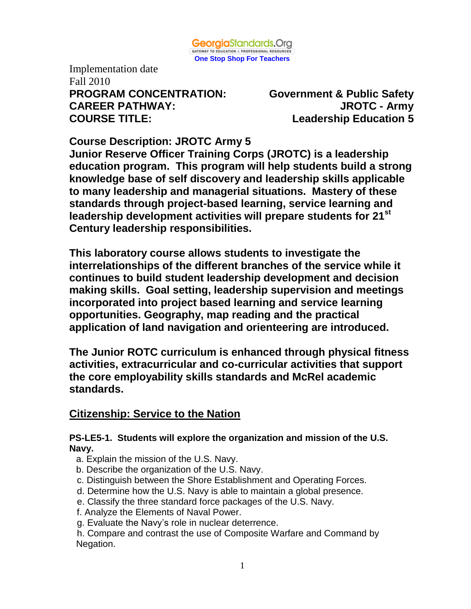

Implementation date Fall 2010 **PROGRAM CONCENTRATION: Government & Public Safety CAREER PATHWAY: JROTC - Army COURSE TITLE: Leadership Education 5**

**Course Description: JROTC Army 5**

**Junior Reserve Officer Training Corps (JROTC) is a leadership education program. This program will help students build a strong knowledge base of self discovery and leadership skills applicable to many leadership and managerial situations. Mastery of these standards through project-based learning, service learning and leadership development activities will prepare students for 21st Century leadership responsibilities.**

**This laboratory course allows students to investigate the interrelationships of the different branches of the service while it continues to build student leadership development and decision making skills. Goal setting, leadership supervision and meetings incorporated into project based learning and service learning opportunities. Geography, map reading and the practical application of land navigation and orienteering are introduced.** 

**The Junior ROTC curriculum is enhanced through physical fitness activities, extracurricular and co-curricular activities that support the core employability skills standards and McRel academic standards.** 

# **Citizenship: Service to the Nation**

#### **PS-LE5-1. Students will explore the organization and mission of the U.S. Navy.**

- a. Explain the mission of the U.S. Navy.
- b. Describe the organization of the U.S. Navy.
- c. Distinguish between the Shore Establishment and Operating Forces.
- d. Determine how the U.S. Navy is able to maintain a global presence.
- e. Classify the three standard force packages of the U.S. Navy.
- f. Analyze the Elements of Naval Power.
- g. Evaluate the Navy's role in nuclear deterrence.
- h. Compare and contrast the use of Composite Warfare and Command by Negation.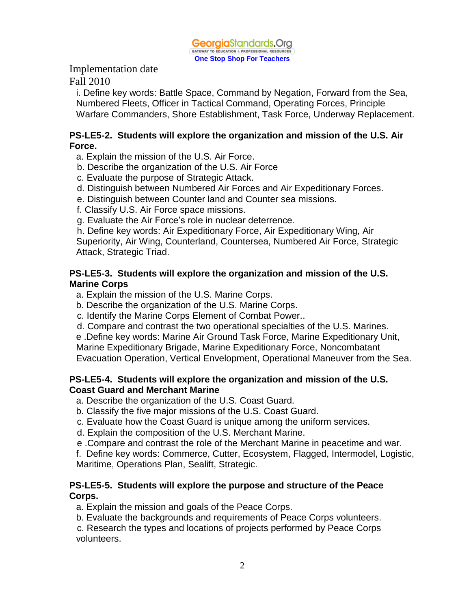

Fall 2010

i. Define key words: Battle Space, Command by Negation, Forward from the Sea, Numbered Fleets, Officer in Tactical Command, Operating Forces, Principle Warfare Commanders, Shore Establishment, Task Force, Underway Replacement.

#### **PS-LE5-2. Students will explore the organization and mission of the U.S. Air Force.**

- a. Explain the mission of the U.S. Air Force.
- b. Describe the organization of the U.S. Air Force
- c. Evaluate the purpose of Strategic Attack.
- d. Distinguish between Numbered Air Forces and Air Expeditionary Forces.
- e. Distinguish between Counter land and Counter sea missions.
- f. Classify U.S. Air Force space missions.
- g. Evaluate the Air Force's role in nuclear deterrence.

 h. Define key words: Air Expeditionary Force, Air Expeditionary Wing, Air Superiority, Air Wing, Counterland, Countersea, Numbered Air Force, Strategic Attack, Strategic Triad.

# **PS-LE5-3. Students will explore the organization and mission of the U.S. Marine Corps**

- a. Explain the mission of the U.S. Marine Corps.
- b. Describe the organization of the U.S. Marine Corps.
- c. Identify the Marine Corps Element of Combat Power..
- d. Compare and contrast the two operational specialties of the U.S. Marines.

 e .Define key words: Marine Air Ground Task Force, Marine Expeditionary Unit, Marine Expeditionary Brigade, Marine Expeditionary Force, Noncombatant Evacuation Operation, Vertical Envelopment, Operational Maneuver from the Sea.

# **PS-LE5-4. Students will explore the organization and mission of the U.S. Coast Guard and Merchant Marine**

- a. Describe the organization of the U.S. Coast Guard.
- b. Classify the five major missions of the U.S. Coast Guard.
- c. Evaluate how the Coast Guard is unique among the uniform services.
- d. Explain the composition of the U.S. Merchant Marine.
- e .Compare and contrast the role of the Merchant Marine in peacetime and war.
- f. Define key words: Commerce, Cutter, Ecosystem, Flagged, Intermodel, Logistic, Maritime, Operations Plan, Sealift, Strategic.

# **PS-LE5-5. Students will explore the purpose and structure of the Peace Corps.**

a. Explain the mission and goals of the Peace Corps.

b. Evaluate the backgrounds and requirements of Peace Corps volunteers.

 c. Research the types and locations of projects performed by Peace Corps volunteers.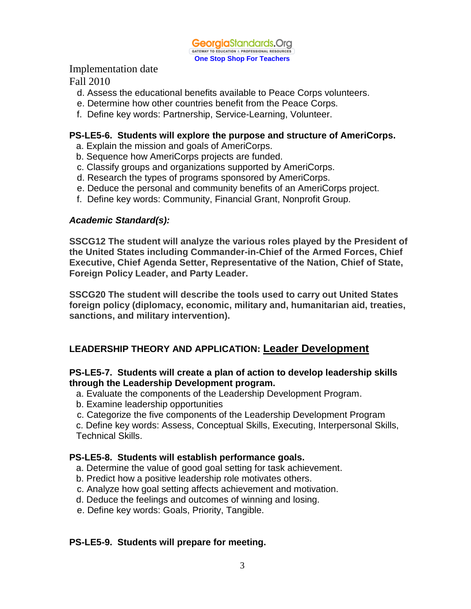

Fall 2010

- d. Assess the educational benefits available to Peace Corps volunteers.
- e. Determine how other countries benefit from the Peace Corps.
- f. Define key words: Partnership, Service-Learning, Volunteer.

# **PS-LE5-6. Students will explore the purpose and structure of AmeriCorps.**

- a. Explain the mission and goals of AmeriCorps.
- b. Sequence how AmeriCorps projects are funded.
- c. Classify groups and organizations supported by AmeriCorps.
- d. Research the types of programs sponsored by AmeriCorps.
- e. Deduce the personal and community benefits of an AmeriCorps project.
- f. Define key words: Community, Financial Grant, Nonprofit Group.

#### *Academic Standard(s):*

**SSCG12 The student will analyze the various roles played by the President of the United States including Commander-in-Chief of the Armed Forces, Chief Executive, Chief Agenda Setter, Representative of the Nation, Chief of State, Foreign Policy Leader, and Party Leader.**

**SSCG20 The student will describe the tools used to carry out United States foreign policy (diplomacy, economic, military and, humanitarian aid, treaties, sanctions, and military intervention).**

# **LEADERSHIP THEORY AND APPLICATION: Leader Development**

#### **PS-LE5-7. Students will create a plan of action to develop leadership skills through the Leadership Development program.**

- a. Evaluate the components of the Leadership Development Program.
- b. Examine leadership opportunities
- c. Categorize the five components of the Leadership Development Program

c. Define key words: Assess, Conceptual Skills, Executing, Interpersonal Skills, Technical Skills.

# **PS-LE5-8. Students will establish performance goals.**

- a. Determine the value of good goal setting for task achievement.
- b. Predict how a positive leadership role motivates others.
- c. Analyze how goal setting affects achievement and motivation.
- d. Deduce the feelings and outcomes of winning and losing.
- e. Define key words: Goals, Priority, Tangible.

# **PS-LE5-9. Students will prepare for meeting.**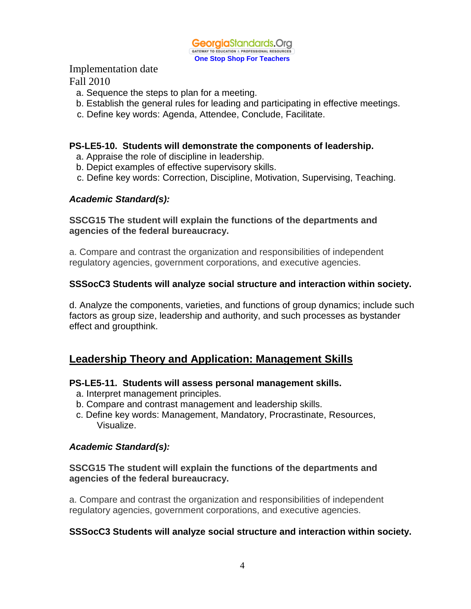

- a. Sequence the steps to plan for a meeting.
- b. Establish the general rules for leading and participating in effective meetings.
- c. Define key words: Agenda, Attendee, Conclude, Facilitate.

#### **PS-LE5-10. Students will demonstrate the components of leadership.**

- a. Appraise the role of discipline in leadership.
- b. Depict examples of effective supervisory skills.
- c. Define key words: Correction, Discipline, Motivation, Supervising, Teaching.

#### *Academic Standard(s):*

#### **SSCG15 The student will explain the functions of the departments and agencies of the federal bureaucracy.**

a. Compare and contrast the organization and responsibilities of independent regulatory agencies, government corporations, and executive agencies.

# **SSSocC3 Students will analyze social structure and interaction within society.**

d. Analyze the components, varieties, and functions of group dynamics; include such factors as group size, leadership and authority, and such processes as bystander effect and groupthink.

# **Leadership Theory and Application: Management Skills**

#### **PS-LE5-11. Students will assess personal management skills.**

- a. Interpret management principles.
- b. Compare and contrast management and leadership skills.
- c. Define key words: Management, Mandatory, Procrastinate, Resources, Visualize.

#### *Academic Standard(s):*

#### **SSCG15 The student will explain the functions of the departments and agencies of the federal bureaucracy.**

a. Compare and contrast the organization and responsibilities of independent regulatory agencies, government corporations, and executive agencies.

#### **SSSocC3 Students will analyze social structure and interaction within society.**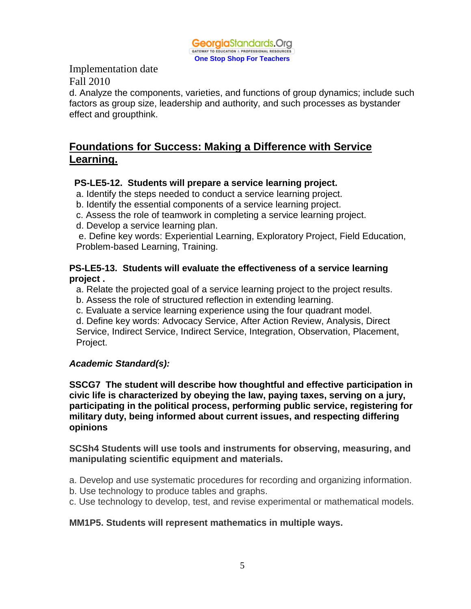

d. Analyze the components, varieties, and functions of group dynamics; include such factors as group size, leadership and authority, and such processes as bystander effect and groupthink.

# **Foundations for Success: Making a Difference with Service Learning.**

# **PS-LE5-12. Students will prepare a service learning project.**

- a. Identify the steps needed to conduct a service learning project.
- b. Identify the essential components of a service learning project.
- c. Assess the role of teamwork in completing a service learning project.
- d. Develop a service learning plan.

 e. Define key words: Experiential Learning, Exploratory Project, Field Education, Problem-based Learning, Training.

# **PS-LE5-13. Students will evaluate the effectiveness of a service learning project .**

- a. Relate the projected goal of a service learning project to the project results.
- b. Assess the role of structured reflection in extending learning.
- c. Evaluate a service learning experience using the four quadrant model.

d. Define key words: Advocacy Service, After Action Review, Analysis, Direct Service, Indirect Service, Indirect Service, Integration, Observation, Placement, Project.

# *Academic Standard(s):*

**SSCG7 The student will describe how thoughtful and effective participation in civic life is characterized by obeying the law, paying taxes, serving on a jury, participating in the political process, performing public service, registering for military duty, being informed about current issues, and respecting differing opinions**

**SCSh4 Students will use tools and instruments for observing, measuring, and manipulating scientific equipment and materials.**

- a. Develop and use systematic procedures for recording and organizing information.
- b. Use technology to produce tables and graphs.
- c. Use technology to develop, test, and revise experimental or mathematical models.

# **MM1P5. Students will represent mathematics in multiple ways.**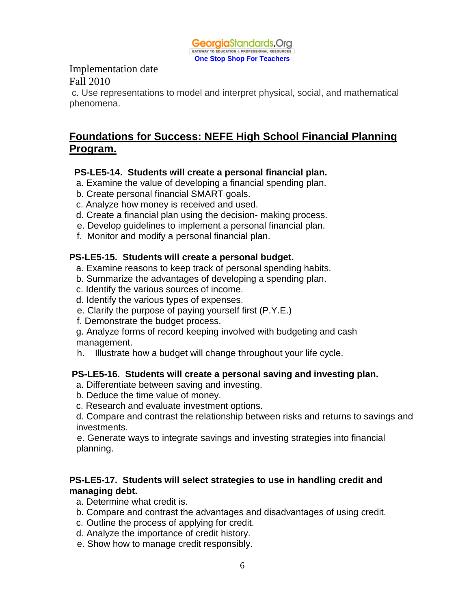

c. Use representations to model and interpret physical, social, and mathematical phenomena.

# **Foundations for Success: NEFE High School Financial Planning Program.**

#### **PS-LE5-14. Students will create a personal financial plan.**

- a. Examine the value of developing a financial spending plan.
- b. Create personal financial SMART goals.
- c. Analyze how money is received and used.
- d. Create a financial plan using the decision- making process.
- e. Develop guidelines to implement a personal financial plan.
- f. Monitor and modify a personal financial plan.

#### **PS-LE5-15. Students will create a personal budget.**

- a. Examine reasons to keep track of personal spending habits.
- b. Summarize the advantages of developing a spending plan.
- c. Identify the various sources of income.
- d. Identify the various types of expenses.
- e. Clarify the purpose of paying yourself first (P.Y.E.)
- f. Demonstrate the budget process.
- g. Analyze forms of record keeping involved with budgeting and cash management.
- h. Illustrate how a budget will change throughout your life cycle.

#### **PS-LE5-16. Students will create a personal saving and investing plan.**

- a. Differentiate between saving and investing.
- b. Deduce the time value of money.
- c. Research and evaluate investment options.

d. Compare and contrast the relationship between risks and returns to savings and investments.

 e. Generate ways to integrate savings and investing strategies into financial planning.

#### **PS-LE5-17. Students will select strategies to use in handling credit and managing debt.**

- a. Determine what credit is.
- b. Compare and contrast the advantages and disadvantages of using credit.
- c. Outline the process of applying for credit.
- d. Analyze the importance of credit history.
- e. Show how to manage credit responsibly.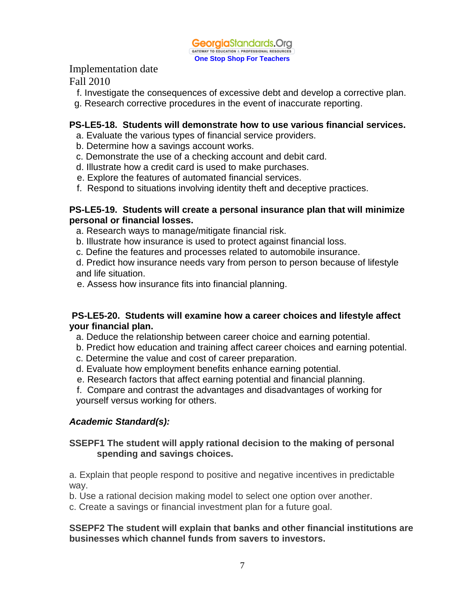

Fall 2010

- f. Investigate the consequences of excessive debt and develop a corrective plan.
- g. Research corrective procedures in the event of inaccurate reporting.

# **PS-LE5-18. Students will demonstrate how to use various financial services.**

- a. Evaluate the various types of financial service providers.
- b. Determine how a savings account works.
- c. Demonstrate the use of a checking account and debit card.
- d. Illustrate how a credit card is used to make purchases.
- e. Explore the features of automated financial services.
- f. Respond to situations involving identity theft and deceptive practices.

#### **PS-LE5-19. Students will create a personal insurance plan that will minimize personal or financial losses.**

- a. Research ways to manage/mitigate financial risk.
- b. Illustrate how insurance is used to protect against financial loss.
- c. Define the features and processes related to automobile insurance.

d. Predict how insurance needs vary from person to person because of lifestyle and life situation.

e. Assess how insurance fits into financial planning.

# **PS-LE5-20. Students will examine how a career choices and lifestyle affect your financial plan.**

- a. Deduce the relationship between career choice and earning potential.
- b. Predict how education and training affect career choices and earning potential.
- c. Determine the value and cost of career preparation.
- d. Evaluate how employment benefits enhance earning potential.
- e. Research factors that affect earning potential and financial planning.
- f. Compare and contrast the advantages and disadvantages of working for yourself versus working for others.

# *Academic Standard(s):*

# **SSEPF1 The student will apply rational decision to the making of personal spending and savings choices.**

a. Explain that people respond to positive and negative incentives in predictable way.

b. Use a rational decision making model to select one option over another.

c. Create a savings or financial investment plan for a future goal.

# **SSEPF2 The student will explain that banks and other financial institutions are businesses which channel funds from savers to investors.**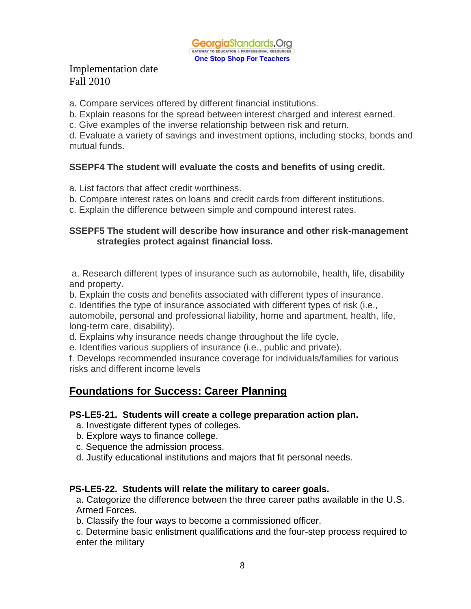

a. Compare services offered by different financial institutions.

b. Explain reasons for the spread between interest charged and interest earned.

c. Give examples of the inverse relationship between risk and return.

d. Evaluate a variety of savings and investment options, including stocks, bonds and mutual funds.

# **SSEPF4 The student will evaluate the costs and benefits of using credit.**

a. List factors that affect credit worthiness.

- b. Compare interest rates on loans and credit cards from different institutions.
- c. Explain the difference between simple and compound interest rates.

#### **SSEPF5 The student will describe how insurance and other risk-management strategies protect against financial loss.**

a. Research different types of insurance such as automobile, health, life, disability and property.

b. Explain the costs and benefits associated with different types of insurance.

c. Identifies the type of insurance associated with different types of risk (i.e.,

automobile, personal and professional liability, home and apartment, health, life, long-term care, disability).

d. Explains why insurance needs change throughout the life cycle.

e. Identifies various suppliers of insurance (i.e., public and private).

f. Develops recommended insurance coverage for individuals/families for various risks and different income levels

# **Foundations for Success: Career Planning**

#### **PS-LE5-21. Students will create a college preparation action plan.**

- a. Investigate different types of colleges.
- b. Explore ways to finance college.
- c. Sequence the admission process.
- d. Justify educational institutions and majors that fit personal needs.

#### **PS-LE5-22. Students will relate the military to career goals.**

a. Categorize the difference between the three career paths available in the U.S. Armed Forces.

b. Classify the four ways to become a commissioned officer.

c. Determine basic enlistment qualifications and the four-step process required to enter the military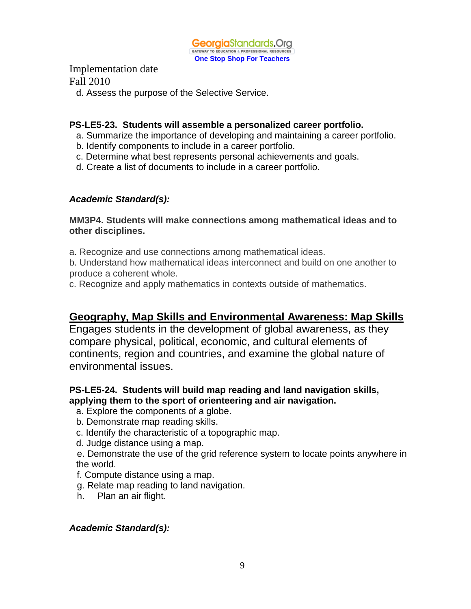

d. Assess the purpose of the Selective Service.

#### **PS-LE5-23. Students will assemble a personalized career portfolio.**

- a. Summarize the importance of developing and maintaining a career portfolio.
- b. Identify components to include in a career portfolio.
- c. Determine what best represents personal achievements and goals.
- d. Create a list of documents to include in a career portfolio.

#### *Academic Standard(s):*

**MM3P4. Students will make connections among mathematical ideas and to other disciplines.**

a. Recognize and use connections among mathematical ideas.

b. Understand how mathematical ideas interconnect and build on one another to produce a coherent whole.

c. Recognize and apply mathematics in contexts outside of mathematics.

# **Geography, Map Skills and Environmental Awareness: Map Skills**

Engages students in the development of global awareness, as they compare physical, political, economic, and cultural elements of continents, region and countries, and examine the global nature of environmental issues.

#### **PS-LE5-24. Students will build map reading and land navigation skills, applying them to the sport of orienteering and air navigation.**

- a. Explore the components of a globe.
- b. Demonstrate map reading skills.
- c. Identify the characteristic of a topographic map.
- d. Judge distance using a map.

 e. Demonstrate the use of the grid reference system to locate points anywhere in the world.

- f. Compute distance using a map.
- g. Relate map reading to land navigation.
- h. Plan an air flight.

#### *Academic Standard(s):*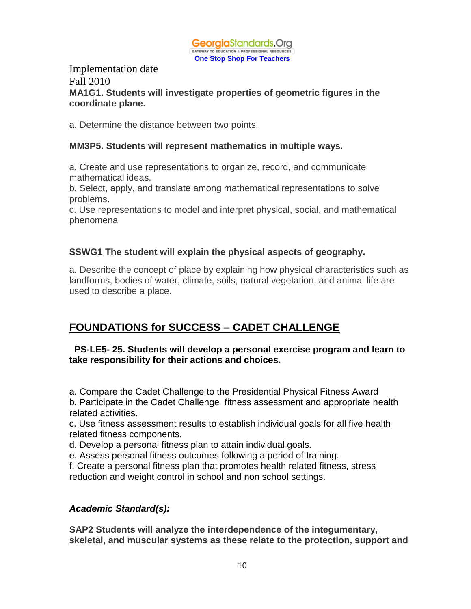

#### Implementation date Fall 2010 **MA1G1. Students will investigate properties of geometric figures in the coordinate plane.**

a. Determine the distance between two points.

#### **MM3P5. Students will represent mathematics in multiple ways.**

a. Create and use representations to organize, record, and communicate mathematical ideas.

b. Select, apply, and translate among mathematical representations to solve problems.

c. Use representations to model and interpret physical, social, and mathematical phenomena

# **SSWG1 The student will explain the physical aspects of geography.**

a. Describe the concept of place by explaining how physical characteristics such as landforms, bodies of water, climate, soils, natural vegetation, and animal life are used to describe a place.

# **FOUNDATIONS for SUCCESS – CADET CHALLENGE**

#### **PS-LE5- 25. Students will develop a personal exercise program and learn to take responsibility for their actions and choices.**

a. Compare the Cadet Challenge to the Presidential Physical Fitness Award

b. Participate in the Cadet Challenge fitness assessment and appropriate health related activities.

c. Use fitness assessment results to establish individual goals for all five health related fitness components.

d. Develop a personal fitness plan to attain individual goals.

e. Assess personal fitness outcomes following a period of training.

f. Create a personal fitness plan that promotes health related fitness, stress reduction and weight control in school and non school settings.

# *Academic Standard(s):*

**SAP2 Students will analyze the interdependence of the integumentary, skeletal, and muscular systems as these relate to the protection, support and**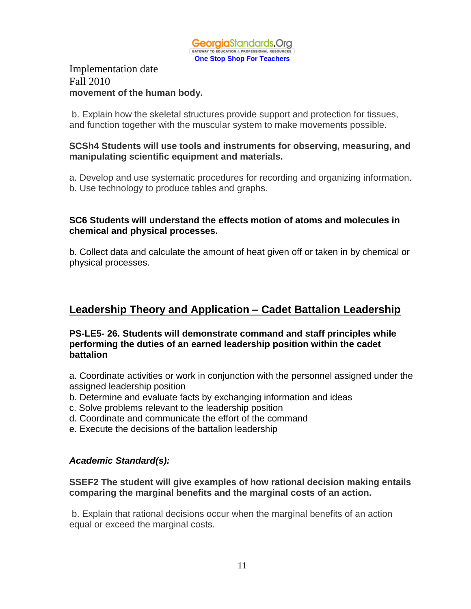

# Implementation date Fall 2010 **movement of the human body.**

b. Explain how the skeletal structures provide support and protection for tissues, and function together with the muscular system to make movements possible.

#### **SCSh4 Students will use tools and instruments for observing, measuring, and manipulating scientific equipment and materials.**

a. Develop and use systematic procedures for recording and organizing information. b. Use technology to produce tables and graphs.

#### **SC6 Students will understand the effects motion of atoms and molecules in chemical and physical processes.**

b. Collect data and calculate the amount of heat given off or taken in by chemical or physical processes.

# **Leadership Theory and Application – Cadet Battalion Leadership**

#### **PS-LE5- 26. Students will demonstrate command and staff principles while performing the duties of an earned leadership position within the cadet battalion**

a. Coordinate activities or work in conjunction with the personnel assigned under the assigned leadership position

- b. Determine and evaluate facts by exchanging information and ideas
- c. Solve problems relevant to the leadership position
- d. Coordinate and communicate the effort of the command
- e. Execute the decisions of the battalion leadership

# *Academic Standard(s):*

**SSEF2 The student will give examples of how rational decision making entails comparing the marginal benefits and the marginal costs of an action.**

b. Explain that rational decisions occur when the marginal benefits of an action equal or exceed the marginal costs.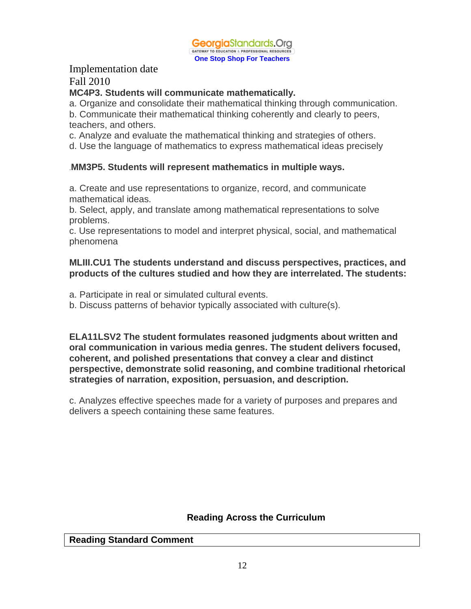

Fall 2010

#### **MC4P3. Students will communicate mathematically.**

a. Organize and consolidate their mathematical thinking through communication. b. Communicate their mathematical thinking coherently and clearly to peers, teachers, and others.

c. Analyze and evaluate the mathematical thinking and strategies of others.

d. Use the language of mathematics to express mathematical ideas precisely

# .**MM3P5. Students will represent mathematics in multiple ways.**

a. Create and use representations to organize, record, and communicate mathematical ideas.

b. Select, apply, and translate among mathematical representations to solve problems.

c. Use representations to model and interpret physical, social, and mathematical phenomena

#### **MLIII.CU1 The students understand and discuss perspectives, practices, and products of the cultures studied and how they are interrelated. The students:**

a. Participate in real or simulated cultural events.

b. Discuss patterns of behavior typically associated with culture(s).

**ELA11LSV2 The student formulates reasoned judgments about written and oral communication in various media genres. The student delivers focused, coherent, and polished presentations that convey a clear and distinct perspective, demonstrate solid reasoning, and combine traditional rhetorical strategies of narration, exposition, persuasion, and description.**

c. Analyzes effective speeches made for a variety of purposes and prepares and delivers a speech containing these same features.

# **Reading Across the Curriculum**

#### **Reading Standard Comment**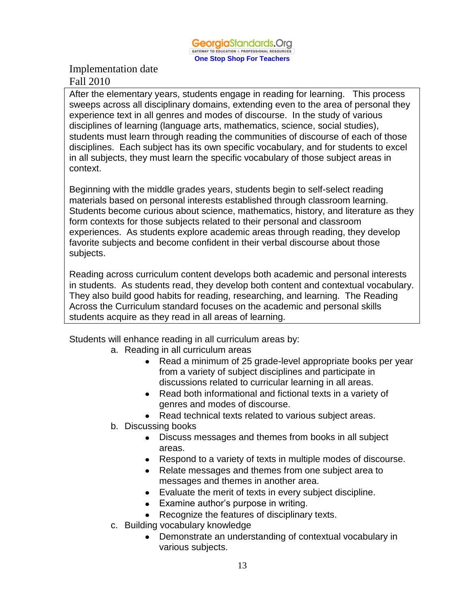After the elementary years, students engage in reading for learning. This process sweeps across all disciplinary domains, extending even to the area of personal they experience text in all genres and modes of discourse. In the study of various disciplines of learning (language arts, mathematics, science, social studies), students must learn through reading the communities of discourse of each of those disciplines. Each subject has its own specific vocabulary, and for students to excel in all subjects, they must learn the specific vocabulary of those subject areas in context.

Beginning with the middle grades years, students begin to self-select reading materials based on personal interests established through classroom learning. Students become curious about science, mathematics, history, and literature as they form contexts for those subjects related to their personal and classroom experiences. As students explore academic areas through reading, they develop favorite subjects and become confident in their verbal discourse about those subjects.

Reading across curriculum content develops both academic and personal interests in students. As students read, they develop both content and contextual vocabulary. They also build good habits for reading, researching, and learning. The Reading Across the Curriculum standard focuses on the academic and personal skills students acquire as they read in all areas of learning.

Students will enhance reading in all curriculum areas by:

- a. Reading in all curriculum areas
	- Read a minimum of 25 grade-level appropriate books per year from a variety of subject disciplines and participate in discussions related to curricular learning in all areas.
	- Read both informational and fictional texts in a variety of genres and modes of discourse.
	- Read technical texts related to various subject areas.
- b. Discussing books
	- Discuss messages and themes from books in all subject areas.
	- Respond to a variety of texts in multiple modes of discourse.
	- Relate messages and themes from one subject area to messages and themes in another area.
	- Evaluate the merit of texts in every subject discipline.
	- Examine author's purpose in writing.
	- Recognize the features of disciplinary texts.
- c. Building vocabulary knowledge
	- Demonstrate an understanding of contextual vocabulary in various subjects.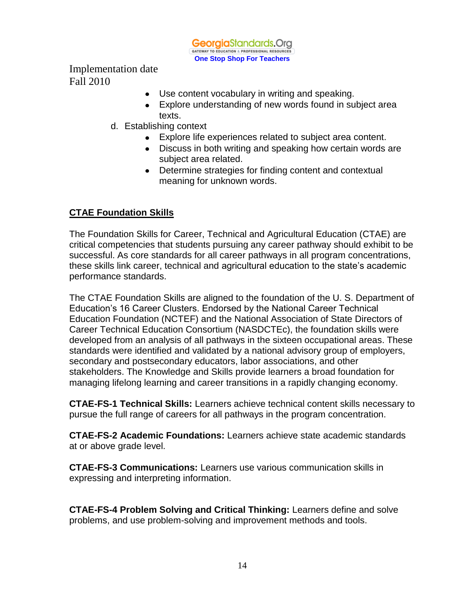

- Use content vocabulary in writing and speaking.
- Explore understanding of new words found in subject area texts.
- d. Establishing context
	- Explore life experiences related to subject area content.
	- Discuss in both writing and speaking how certain words are subject area related.
	- Determine strategies for finding content and contextual meaning for unknown words.

# **CTAE Foundation Skills**

The Foundation Skills for Career, Technical and Agricultural Education (CTAE) are critical competencies that students pursuing any career pathway should exhibit to be successful. As core standards for all career pathways in all program concentrations, these skills link career, technical and agricultural education to the state's academic performance standards.

The CTAE Foundation Skills are aligned to the foundation of the U. S. Department of Education's 16 Career Clusters. Endorsed by the National Career Technical Education Foundation (NCTEF) and the National Association of State Directors of Career Technical Education Consortium (NASDCTEc), the foundation skills were developed from an analysis of all pathways in the sixteen occupational areas. These standards were identified and validated by a national advisory group of employers, secondary and postsecondary educators, labor associations, and other stakeholders. The Knowledge and Skills provide learners a broad foundation for managing lifelong learning and career transitions in a rapidly changing economy.

**CTAE-FS-1 Technical Skills:** Learners achieve technical content skills necessary to pursue the full range of careers for all pathways in the program concentration.

**CTAE-FS-2 Academic Foundations:** Learners achieve state academic standards at or above grade level.

**CTAE-FS-3 Communications:** Learners use various communication skills in expressing and interpreting information.

**CTAE-FS-4 Problem Solving and Critical Thinking:** Learners define and solve problems, and use problem-solving and improvement methods and tools.